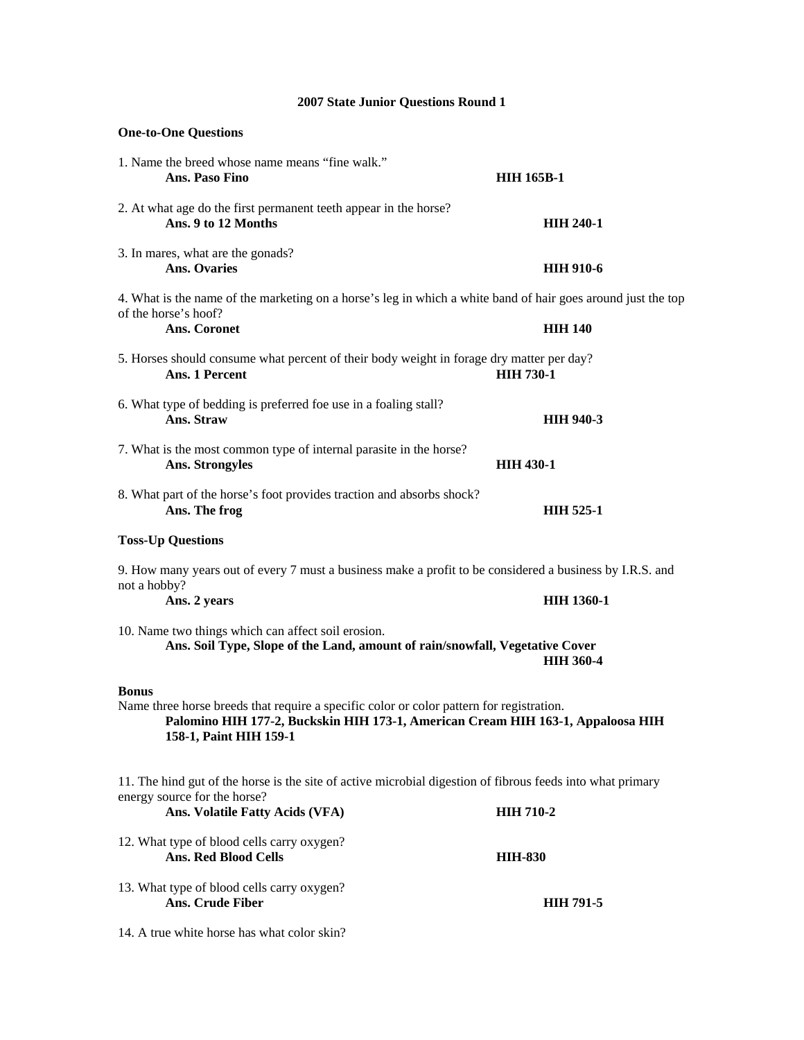# **One-to-One Questions**  1. Name the breed whose name means "fine walk." **Ans. Paso Fino HIH 165B-1**  2. At what age do the first permanent teeth appear in the horse? **Ans. 9 to 12 Months HIH 240-1**  3. In mares, what are the gonads? **Ans. Ovaries HIH 910-6**  4. What is the name of the marketing on a horse's leg in which a white band of hair goes around just the top of the horse's hoof? Ans. Coronet **HIH 140** 5. Horses should consume what percent of their body weight in forage dry matter per day? **Ans. 1 Percent HIH 730-1**  6. What type of bedding is preferred foe use in a foaling stall? **Ans. Straw HIH 940-3**  7. What is the most common type of internal parasite in the horse? Ans. Strongyles **HIH 430-1** 8. What part of the horse's foot provides traction and absorbs shock? Ans. The frog **HIH 525-1 Toss-Up Questions**  9. How many years out of every 7 must a business make a profit to be considered a business by I.R.S. and not a hobby? **Ans. 2 years HIH 1360-1**  10. Name two things which can affect soil erosion. **Ans. Soil Type, Slope of the Land, amount of rain/snowfall, Vegetative Cover HIH 360-4 Bonus**  Name three horse breeds that require a specific color or color pattern for registration. **Palomino HIH 177-2, Buckskin HIH 173-1, American Cream HIH 163-1, Appaloosa HIH 158-1, Paint HIH 159-1**  11. The hind gut of the horse is the site of active microbial digestion of fibrous feeds into what primary energy source for the horse? Ans. Volatile Fatty Acids (VFA) **HIH 710-2** 12. What type of blood cells carry oxygen? Ans. Red Blood Cells **HIH-830**

13. What type of blood cells carry oxygen? Ans. Crude Fiber **HIH 791-5** 

14. A true white horse has what color skin?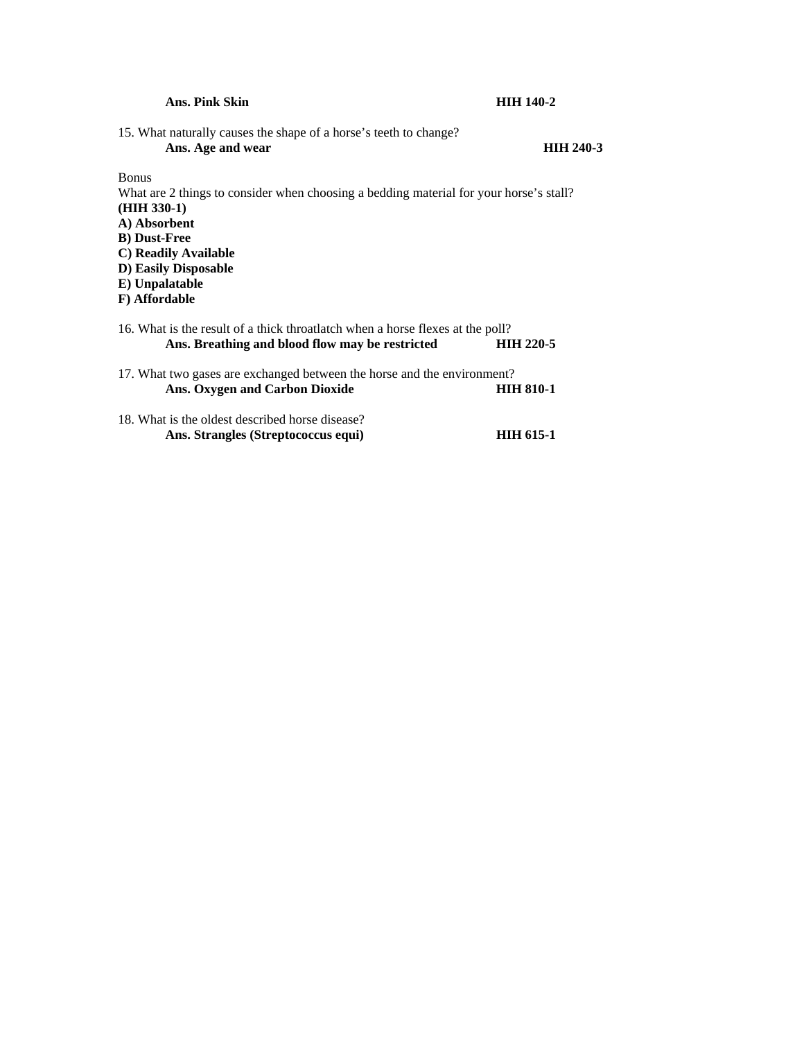| Ans. Pink Skin                                                                                                                                                                                                                                     | <b>HIH 140-2</b> |
|----------------------------------------------------------------------------------------------------------------------------------------------------------------------------------------------------------------------------------------------------|------------------|
| 15. What naturally causes the shape of a horse's teeth to change?<br>Ans. Age and wear                                                                                                                                                             | <b>HIH 240-3</b> |
| <b>Bonus</b><br>What are 2 things to consider when choosing a bedding material for your horse's stall?<br>$(HIH 330-1)$<br>A) Absorbent<br><b>B</b> ) Dust-Free<br>C) Readily Available<br>D) Easily Disposable<br>E) Unpalatable<br>F) Affordable |                  |
| 16. What is the result of a thick throatlatch when a horse flexes at the poll?<br>Ans. Breathing and blood flow may be restricted                                                                                                                  | <b>HIH 220-5</b> |
| 17. What two gases are exchanged between the horse and the environment?<br><b>Ans. Oxygen and Carbon Dioxide</b>                                                                                                                                   | <b>HIH 810-1</b> |
| 18. What is the oldest described horse disease?                                                                                                                                                                                                    |                  |

Ans. Strangles (Streptococcus equi) **HIH 615-1**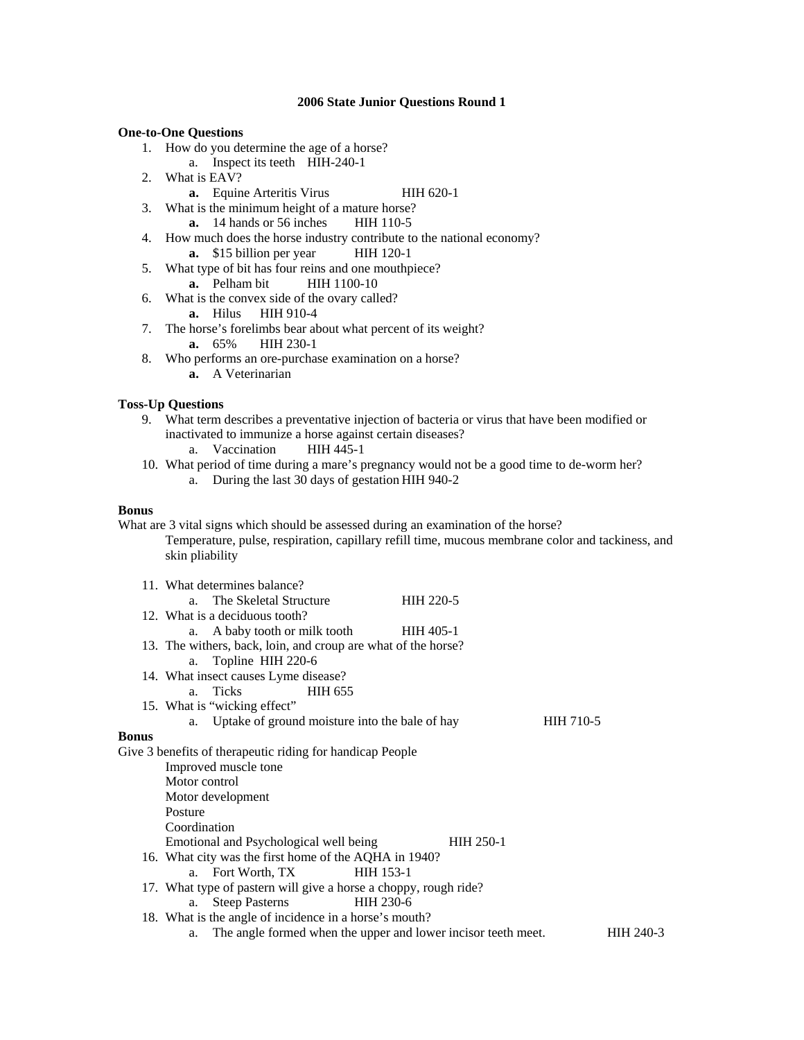## **One-to-One Questions**

- 1. How do you determine the age of a horse?
	- a. Inspect its teeth HIH-240-1
- 2. What is EAV?
	- **a.** Equine Arteritis Virus HIH 620-1
- 3. What is the minimum height of a mature horse?
	- **a.** 14 hands or 56 inches HIH 110-5
- 4. How much does the horse industry contribute to the national economy?
	- **a.** \$15 billion per year HIH 120-1
- 5. What type of bit has four reins and one mouthpiece? **a.** Pelham bit **HIH 1100-10**
- 6. What is the convex side of the ovary called?
	- **a.** Hilus HIH 910-4
- 7. The horse's forelimbs bear about what percent of its weight? **a.** 65% HIH 230-1
- 8. Who performs an ore-purchase examination on a horse? **a.** A Veterinarian

# **Toss-Up Questions**

- 9. What term describes a preventative injection of bacteria or virus that have been modified or inactivated to immunize a horse against certain diseases?<br>a. Vaccination HIH 445-1
	- a. Vaccination
- 10. What period of time during a mare's pregnancy would not be a good time to de-worm her? a. During the last 30 days of gestation HIH 940-2

#### **Bonus**

What are 3 vital signs which should be assessed during an examination of the horse? Temperature, pulse, respiration, capillary refill time, mucous membrane color and tackiness, and skin pliability

|              | 11. What determines balance?                                        |           |           |           |
|--------------|---------------------------------------------------------------------|-----------|-----------|-----------|
|              | The Skeletal Structure<br>a.                                        | HIH 220-5 |           |           |
|              | 12. What is a deciduous tooth?                                      |           |           |           |
|              | a. A baby tooth or milk tooth                                       | HIH 405-1 |           |           |
|              | 13. The withers, back, loin, and croup are what of the horse?       |           |           |           |
|              | Topline HIH 220-6<br>a.                                             |           |           |           |
|              | 14. What insect causes Lyme disease?                                |           |           |           |
|              | a. Ticks<br><b>HIH 655</b>                                          |           |           |           |
|              | 15. What is "wicking effect"                                        |           |           |           |
|              | a. Uptake of ground moisture into the bale of hay                   |           | HIH 710-5 |           |
| <b>Bonus</b> |                                                                     |           |           |           |
|              | Give 3 benefits of therapeutic riding for handicap People           |           |           |           |
|              | Improved muscle tone                                                |           |           |           |
|              | Motor control                                                       |           |           |           |
|              | Motor development                                                   |           |           |           |
|              | Posture                                                             |           |           |           |
|              | Coordination                                                        |           |           |           |
|              | Emotional and Psychological well being                              | HIH 250-1 |           |           |
|              | 16. What city was the first home of the AQHA in 1940?               |           |           |           |
|              | a. Fort Worth, TX<br><b>HIH 153-1</b>                               |           |           |           |
|              | 17. What type of pastern will give a horse a choppy, rough ride?    |           |           |           |
|              | <b>Steep Pasterns</b><br>HIH 230-6<br>a.                            |           |           |           |
|              | 18. What is the angle of incidence in a horse's mouth?              |           |           |           |
|              | The angle formed when the upper and lower incisor teeth meet.<br>а. |           |           | HIH 240-3 |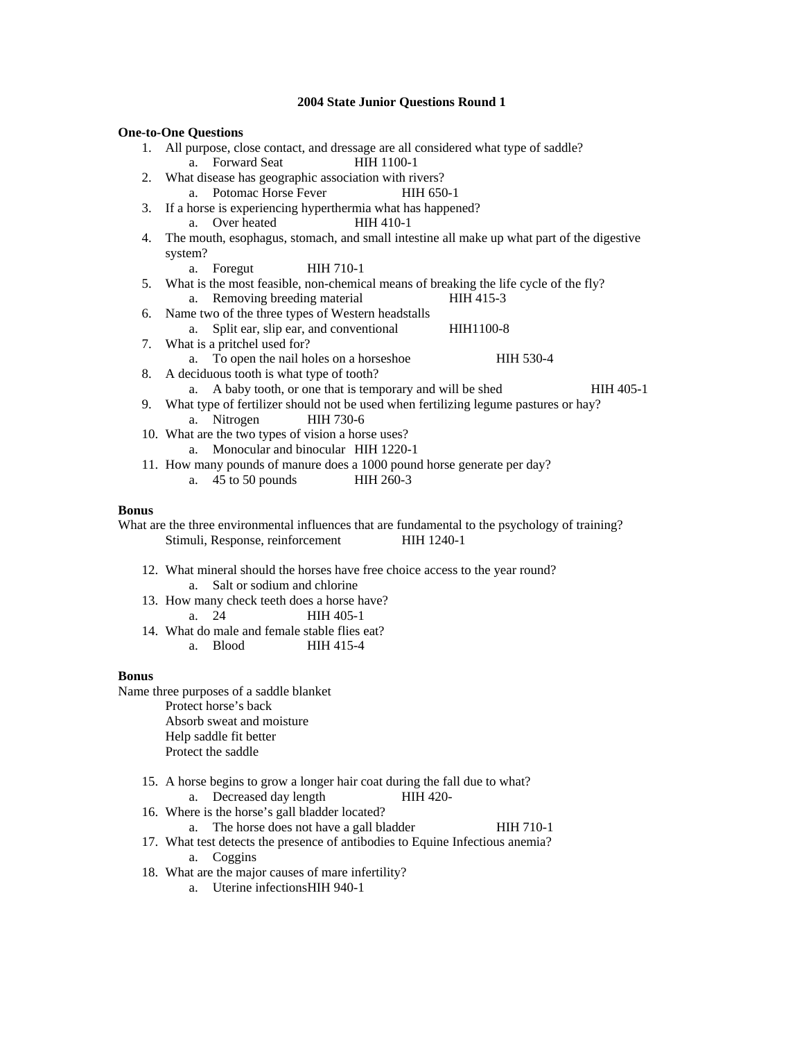|    | <b>2004 State Junior Questions Round 1</b>                                                |  |  |  |
|----|-------------------------------------------------------------------------------------------|--|--|--|
|    | <b>One-to-One Questions</b>                                                               |  |  |  |
| 1. | All purpose, close contact, and dressage are all considered what type of saddle?          |  |  |  |
|    | a. Forward Seat<br><b>HIH 1100-1</b>                                                      |  |  |  |
| 2. | What disease has geographic association with rivers?                                      |  |  |  |
|    | a. Potomac Horse Fever<br>HIH 650-1                                                       |  |  |  |
| 3. | If a horse is experiencing hyperthermia what has happened?                                |  |  |  |
|    | Over heated<br>HIH 410-1<br>$a_{-}$                                                       |  |  |  |
| 4. | The mouth, esophagus, stomach, and small intestine all make up what part of the digestive |  |  |  |
|    | system?                                                                                   |  |  |  |
|    | HIH 710-1<br>Foregut<br>a.                                                                |  |  |  |
| 5. | What is the most feasible, non-chemical means of breaking the life cycle of the fly?      |  |  |  |
|    | Removing breeding material<br>HIH 415-3<br>a.                                             |  |  |  |
| 6. | Name two of the three types of Western headstalls                                         |  |  |  |
|    | Split ear, slip ear, and conventional<br>HIH1100-8<br>a.                                  |  |  |  |
| 7. | What is a pritchel used for?                                                              |  |  |  |
|    | a. To open the nail holes on a horseshoe<br>HIH 530-4                                     |  |  |  |
| 8. | A deciduous tooth is what type of tooth?                                                  |  |  |  |
|    | A baby tooth, or one that is temporary and will be shed<br>HIH 405-1<br>a.                |  |  |  |
| 9. | What type of fertilizer should not be used when fertilizing legume pastures or hay?       |  |  |  |
|    | HIH 730-6<br>Nitrogen<br>a.                                                               |  |  |  |
|    | 10. What are the two types of vision a horse uses?                                        |  |  |  |
|    | Monocular and binocular HIH 1220-1<br>$a_{-}$                                             |  |  |  |
|    | 11. How many pounds of manure does a 1000 pound horse generate per day?                   |  |  |  |

a. 45 to 50 pounds HIH 260-3

## **Bonus**

What are the three environmental influences that are fundamental to the psychology of training? Stimuli, Response, reinforcement HIH 1240-1

- 12. What mineral should the horses have free choice access to the year round? a. Salt or sodium and chlorine
- 13. How many check teeth does a horse have? a. 24 HIH 405-1
- 14. What do male and female stable flies eat? a. Blood HIH 415-4

#### **Bonus**

Name three purposes of a saddle blanket Protect horse's back Absorb sweat and moisture Help saddle fit better Protect the saddle

- 15. A horse begins to grow a longer hair coat during the fall due to what? a. Decreased day length HIH 420-
- 16. Where is the horse's gall bladder located?
	- a. The horse does not have a gall bladder HIH 710-1
- 17. What test detects the presence of antibodies to Equine Infectious anemia? a. Coggins
- 18. What are the major causes of mare infertility?
	- a. Uterine infections HIH 940-1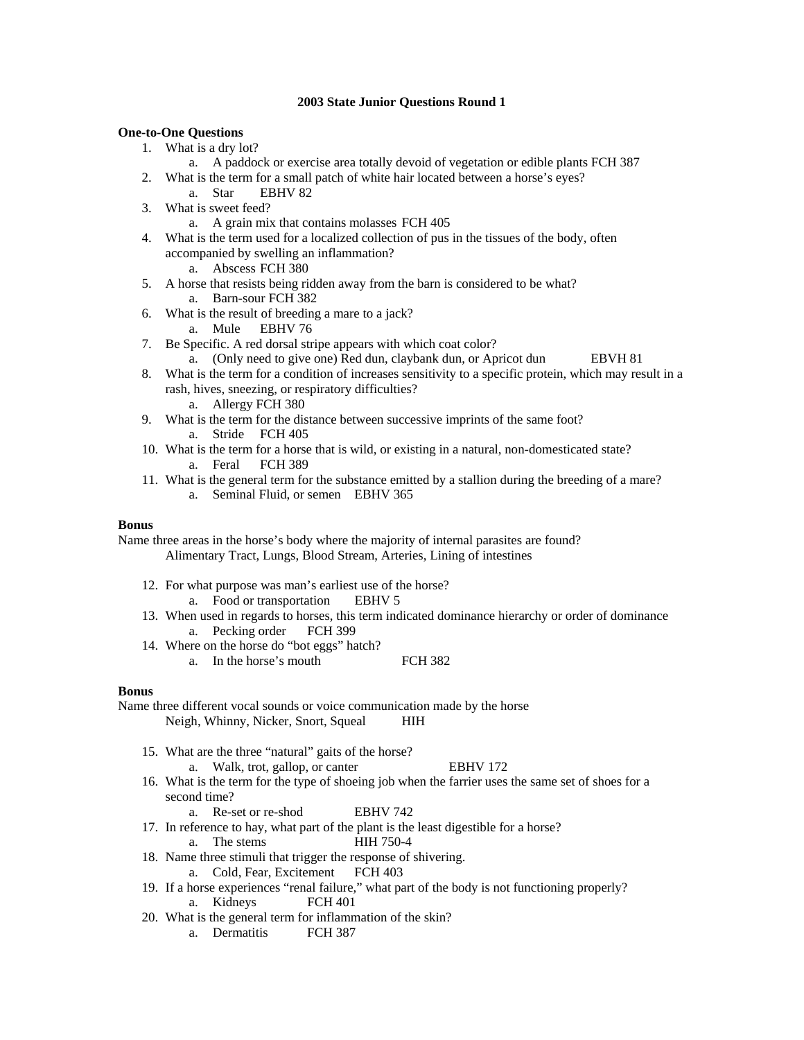### **One-to-One Questions**

- 1. What is a dry lot?
	- a. A paddock or exercise area totally devoid of vegetation or edible plants FCH 387
- 2. What is the term for a small patch of white hair located between a horse's eyes?
	- a. Star EBHV 82
- 3. What is sweet feed?
	- a. A grain mix that contains molasses FCH 405
- 4. What is the term used for a localized collection of pus in the tissues of the body, often accompanied by swelling an inflammation?
	- a. Abscess FCH 380
- 5. A horse that resists being ridden away from the barn is considered to be what? a. Barn-sour FCH 382
- 6. What is the result of breeding a mare to a jack?
	- a. Mule EBHV 76
- 7. Be Specific. A red dorsal stripe appears with which coat color?
	- a. (Only need to give one) Red dun, claybank dun, or Apricot dun EBVH 81
- 8. What is the term for a condition of increases sensitivity to a specific protein, which may result in a rash, hives, sneezing, or respiratory difficulties?
	- a. Allergy FCH 380
- 9. What is the term for the distance between successive imprints of the same foot? a. Stride FCH 405
- 10. What is the term for a horse that is wild, or existing in a natural, non-domesticated state? a. Feral FCH 389
- 11. What is the general term for the substance emitted by a stallion during the breeding of a mare? a. Seminal Fluid, or semen EBHV 365

## **Bonus**

Name three areas in the horse's body where the majority of internal parasites are found? Alimentary Tract, Lungs, Blood Stream, Arteries, Lining of intestines

- 12. For what purpose was man's earliest use of the horse? a. Food or transportation EBHV 5
- 13. When used in regards to horses, this term indicated dominance hierarchy or order of dominance a. Pecking order FCH 399
- 14. Where on the horse do "bot eggs" hatch?
	- a. In the horse's mouth FCH 382

#### **Bonus**

Name three different vocal sounds or voice communication made by the horse Neigh, Whinny, Nicker, Snort, Squeal HIH

- 15. What are the three "natural" gaits of the horse?
	- a. Walk, trot, gallop, or canter EBHV 172
- 16. What is the term for the type of shoeing job when the farrier uses the same set of shoes for a second time?
	- a. Re-set or re-shod EBHV 742
- 17. In reference to hay, what part of the plant is the least digestible for a horse?
	- a. The stems HIH 750-4
- 18. Name three stimuli that trigger the response of shivering.
	- a. Cold, Fear, Excitement FCH 403
- 19. If a horse experiences "renal failure," what part of the body is not functioning properly? a. Kidneys FCH 401
- 20. What is the general term for inflammation of the skin?
	- a. Dermatitis FCH 387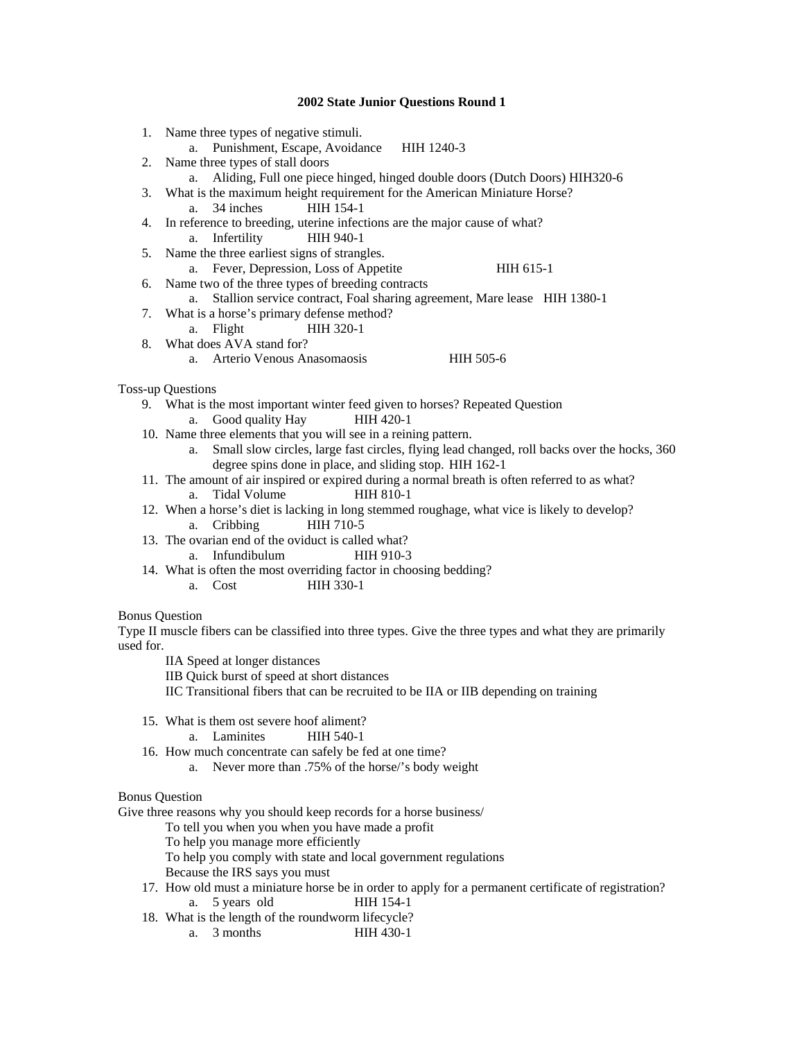- 1. Name three types of negative stimuli.
	- a. Punishment, Escape, Avoidance HIH 1240-3
- 2. Name three types of stall doors
	- a. Aliding, Full one piece hinged, hinged double doors (Dutch Doors) HIH320-6
- 3. What is the maximum height requirement for the American Miniature Horse? a. 34 inches HIH 154-1
- 4. In reference to breeding, uterine infections are the major cause of what? a. Infertility HIH 940-1
- 5. Name the three earliest signs of strangles.
	- a. Fever, Depression, Loss of Appetite HIH 615-1
- 6. Name two of the three types of breeding contracts
- a. Stallion service contract, Foal sharing agreement, Mare lease HIH 1380-1
- 7. What is a horse's primary defense method?
	- a. Flight HIH 320-1
- 8. What does AVA stand for?
	- a. Arterio Venous Anasomaosis HIH 505-6

## Toss-up Questions

- 9. What is the most important winter feed given to horses? Repeated Question
	- a. Good quality Hay HIH 420-1
- 10. Name three elements that you will see in a reining pattern.
	- a. Small slow circles, large fast circles, flying lead changed, roll backs over the hocks, 360 degree spins done in place, and sliding stop. HIH 162-1
- 11. The amount of air inspired or expired during a normal breath is often referred to as what? a. Tidal Volume HIH 810-1
- 12. When a horse's diet is lacking in long stemmed roughage, what vice is likely to develop? a. Cribbing HIH 710-5
- 13. The ovarian end of the oviduct is called what?
- a. Infundibulum HIH 910-3
- 14. What is often the most overriding factor in choosing bedding?
	- a. Cost HIH 330-1

## Bonus Question

Type II muscle fibers can be classified into three types. Give the three types and what they are primarily used for.

- IIA Speed at longer distances
- IIB Quick burst of speed at short distances
- IIC Transitional fibers that can be recruited to be IIA or IIB depending on training
- 15. What is them ost severe hoof aliment?
	- a. Laminites HIH 540-1
- 16. How much concentrate can safely be fed at one time?
	- a. Never more than .75% of the horse/'s body weight

## Bonus Question

Give three reasons why you should keep records for a horse business/

To tell you when you when you have made a profit

- To help you manage more efficiently
- To help you comply with state and local government regulations
- Because the IRS says you must
- 17. How old must a miniature horse be in order to apply for a permanent certificate of registration? a. 5 years old HIH 154-1
- 18. What is the length of the roundworm lifecycle?
	- a. 3 months HIH 430-1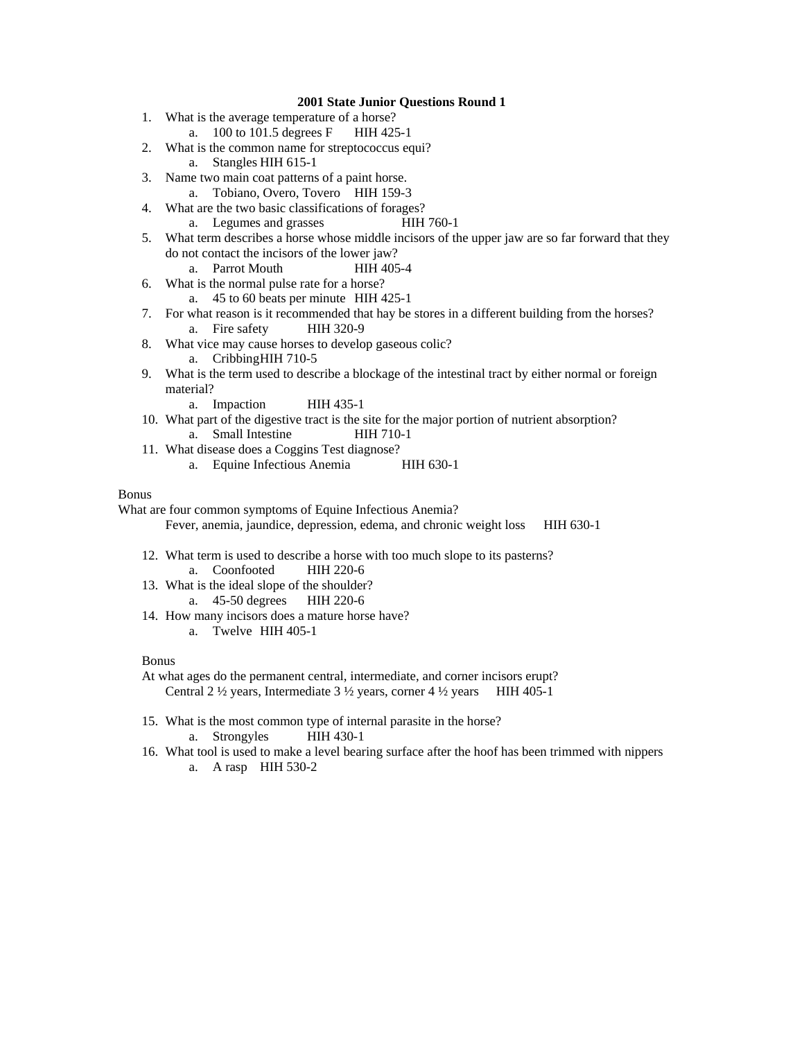- 1. What is the average temperature of a horse?
	- a. 100 to 101.5 degrees F HIH 425-1
- 2. What is the common name for streptococcus equi?
	- a. Stangles HIH 615-1
- 3. Name two main coat patterns of a paint horse.
	- a. Tobiano, Overo, Tovero HIH 159-3
- 4. What are the two basic classifications of forages?
	- a. Legumes and grasses HIH 760-1
- 5. What term describes a horse whose middle incisors of the upper jaw are so far forward that they do not contact the incisors of the lower jaw?
	- a. Parrot Mouth HIH 405-4
- 6. What is the normal pulse rate for a horse?
	- a. 45 to 60 beats per minute HIH 425-1
- 7. For what reason is it recommended that hay be stores in a different building from the horses? a. Fire safety HIH 320-9
- 8. What vice may cause horses to develop gaseous colic? a. Cribbing HIH 710-5
- 9. What is the term used to describe a blockage of the intestinal tract by either normal or foreign material?
	- a. Impaction HIH 435-1
- 10. What part of the digestive tract is the site for the major portion of nutrient absorption? a. Small Intestine HIH 710-1
- 11. What disease does a Coggins Test diagnose?
	- a. Equine Infectious Anemia HIH 630-1

#### Bonus

What are four common symptoms of Equine Infectious Anemia?

Fever, anemia, jaundice, depression, edema, and chronic weight loss HIH 630-1

- 12. What term is used to describe a horse with too much slope to its pasterns? a. Coonfooted HIH 220-6
- 13. What is the ideal slope of the shoulder? a. 45-50 degrees HIH 220-6
- 14. How many incisors does a mature horse have?
	- a. Twelve HIH 405-1

#### Bonus

- At what ages do the permanent central, intermediate, and corner incisors erupt? Central 2  $\frac{1}{2}$  years, Intermediate 3  $\frac{1}{2}$  years, corner 4  $\frac{1}{2}$  years HIH 405-1
- 15. What is the most common type of internal parasite in the horse? a. Strongyles HIH 430-1
- 16. What tool is used to make a level bearing surface after the hoof has been trimmed with nippers a. A rasp HIH 530-2